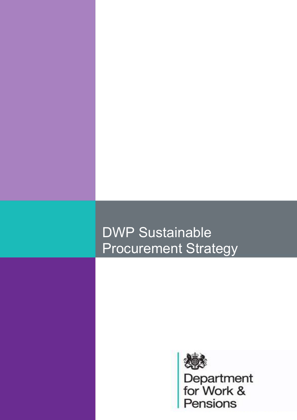# DWP Sustainable Procurement Strategy

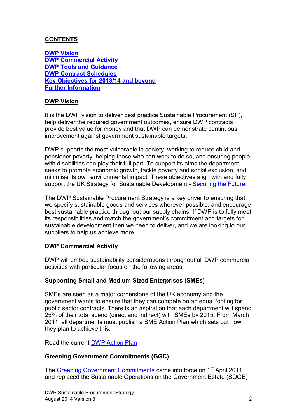# **CONTENTS**

**[DWP Vision](#page-1-0) [DWP Commercial Activity](#page-1-1) [DWP Tools and Guidance](#page-4-0) [DWP Contract Schedules](#page-5-0) [Key Objectives for 2013/14 and beyond](#page-5-1) [Further Information](#page-6-0)**

### <span id="page-1-0"></span>**DWP Vision**

It is the DWP vision to deliver best practice Sustainable Procurement (SP), help deliver the required government outcomes, ensure DWP contracts provide best value for money and that DWP can demonstrate continuous improvement against government sustainable targets.

DWP supports the most vulnerable in society, working to reduce child and pensioner poverty, helping those who can work to do so, and ensuring people with disabilities can play their full part. To support its aims the department seeks to promote economic growth, tackle poverty and social exclusion, and minimise its own environmental impact. These objectives align with and fully support the UK Strategy for Sustainable Development - [Securing the Future.](https://www.gov.uk/government/uploads/system/uploads/attachment_data/file/69412/pb10589-securing-the-future-050307.pdf)

The DWP Sustainable Procurement Strategy is a key driver to ensuring that we specify sustainable goods and services wherever possible, and encourage best sustainable practice throughout our supply chains. If DWP is to fully meet its responsibilities and match the government's commitment and targets for sustainable development then we need to deliver, and we are looking to our suppliers to help us achieve more.

#### <span id="page-1-1"></span>**DWP Commercial Activity**

DWP will embed sustainability considerations throughout all DWP commercial activities with particular focus on the following areas:

#### **Supporting Small and Medium Sized Enterprises (SMEs)**

SMEs are seen as a major cornerstone of the UK economy and the government wants to ensure that they can compete on an equal footing for public sector contracts. There is an aspiration that each department will spend 25% of their total spend (direct and indirect) with SMEs by 2015. From March 2011, all departments must publish a SME Action Plan which sets out how they plan to achieve this.

Read the current [DWP Action Plan](https://www.gov.uk/government/publications/dwp-action-plan-for-small-and-medium-sized-enterprises)

#### **Greening Government Commitments (GGC)**

The [Greening Government Commitments](http://sd.defra.gov.uk/gov/green-government/commitments/) came into force on 1<sup>st</sup> April 2011 and replaced the Sustainable Operations on the Government Estate (SOGE)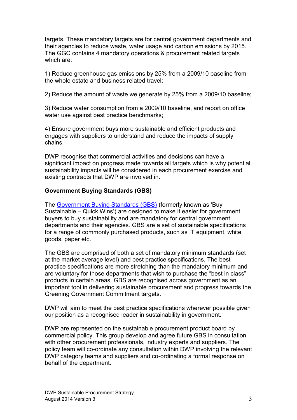targets. These mandatory targets are for central government departments and their agencies to reduce waste, water usage and carbon emissions by 2015. The GGC contains 4 mandatory operations & procurement related targets which are:

1) Reduce greenhouse gas emissions by 25% from a 2009/10 baseline from the whole estate and business related travel;

2) Reduce the amount of waste we generate by 25% from a 2009/10 baseline;

3) Reduce water consumption from a 2009/10 baseline, and report on office water use against best practice benchmarks;

4) Ensure government buys more sustainable and efficient products and engages with suppliers to understand and reduce the impacts of supply chains.

DWP recognise that commercial activities and decisions can have a significant impact on progress made towards all targets which is why potential sustainability impacts will be considered in each procurement exercise and existing contracts that DWP are involved in.

#### **Government Buying Standards (GBS)**

The [Government Buying Standards \(GBS\)](http://sd.defra.gov.uk/advice/public/buying/) (formerly known as 'Buy Sustainable – Quick Wins') are designed to make it easier for government buyers to buy sustainability and are mandatory for central government departments and their agencies. GBS are a set of sustainable specifications for a range of commonly purchased products, such as IT equipment, white goods, paper etc.

The GBS are comprised of both a set of mandatory minimum standards (set at the market average level) and best practice specifications. The best practice specifications are more stretching than the mandatory minimum and are voluntary for those departments that wish to purchase the "best in class" products in certain areas. GBS are recognised across government as an important tool in delivering sustainable procurement and progress towards the Greening Government Commitment targets.

DWP will aim to meet the best practice specifications wherever possible given our position as a recognised leader in sustainability in government.

DWP are represented on the sustainable procurement product board by commercial policy. This group develop and agree future GBS in consultation with other procurement professionals, industry experts and suppliers. The policy team will co-ordinate any consultation within DWP involving the relevant DWP category teams and suppliers and co-ordinating a formal response on behalf of the department.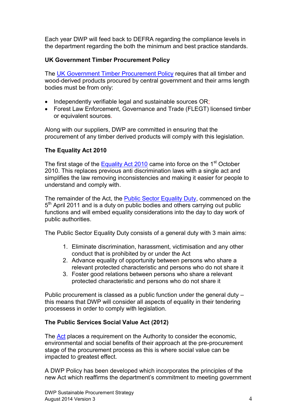Each year DWP will feed back to DEFRA regarding the compliance levels in the department regarding the both the minimum and best practice standards.

# **UK Government Timber Procurement Policy**

The [UK Government Timber Procurement Policy](http://www.cpet.org.uk/uk-government-timber-procurement-policy) requires that all timber and wood-derived products procured by central government and their arms length bodies must be from only:

- Independently verifiable legal and sustainable sources OR;
- Forest Law Enforcement, Governance and Trade (FLEGT) licensed timber or equivalent sources.

Along with our suppliers, DWP are committed in ensuring that the procurement of any timber derived products will comply with this legislation.

# **The Equality Act 2010**

The first stage of the [Equality Act 2010](http://www.legislation.gov.uk/ukpga/2010/15/contents) came into force on the 1<sup>st</sup> October 2010. This replaces previous anti discrimination laws with a single act and simplifies the law removing inconsistencies and making it easier for people to understand and comply with.

The remainder of the Act, the [Public Sector Equality Duty,](http://www.legislation.gov.uk/ukpga/2010/15/section/149) commenced on the 5<sup>th</sup> April 2011 and is a duty on public bodies and others carrying out public functions and will embed equality considerations into the day to day work of public authorities.

The Public Sector Equality Duty consists of a general duty with 3 main aims:

- 1. Eliminate discrimination, harassment, victimisation and any other conduct that is prohibited by or under the Act
- 2. Advance equality of opportunity between persons who share a relevant protected characteristic and persons who do not share it
- 3. Foster good relations between persons who share a relevant protected characteristic and persons who do not share it

Public procurement is classed as a public function under the general duty – this means that DWP will consider all aspects of equality in their tendering processess in order to comply with legislation.

# **The Public Services Social Value Act (2012)**

The [Act](http://www.legislation.gov.uk/ukpga/2012/3/enacted) places a requirement on the Authority to consider the economic, environmental and social benefits of their approach at the pre-procurement stage of the procurement process as this is where social value can be impacted to greatest effect.

A DWP Policy has been developed which incorporates the principles of the new Act which reaffirms the department's commitment to meeting government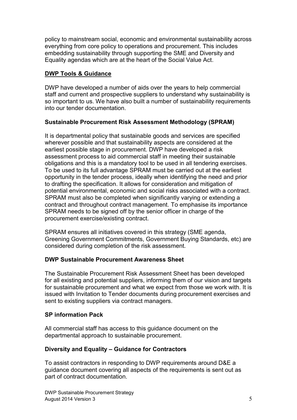policy to mainstream social, economic and environmental sustainability across everything from core policy to operations and procurement. This includes embedding sustainability through supporting the SME and Diversity and Equality agendas which are at the heart of the Social Value Act.

# <span id="page-4-0"></span>**DWP Tools & Guidance**

DWP have developed a number of aids over the years to help commercial staff and current and prospective suppliers to understand why sustainability is so important to us. We have also built a number of sustainability requirements into our tender documentation.

#### **Sustainable Procurement Risk Assessment Methodology (SPRAM)**

It is departmental policy that sustainable goods and services are specified wherever possible and that sustainability aspects are considered at the earliest possible stage in procurement. DWP have developed a risk assessment process to aid commercial staff in meeting their sustainable obligations and this is a mandatory tool to be used in all tendering exercises. To be used to its full advantage SPRAM must be carried out at the earliest opportunity in the tender process, ideally when identifying the need and prior to drafting the specification. It allows for consideration and mitigation of potential environmental, economic and social risks associated with a contract. SPRAM must also be completed when significantly varying or extending a contract and throughout contract management. To emphasise its importance SPRAM needs to be signed off by the senior officer in charge of the procurement exercise/existing contract.

SPRAM ensures all initiatives covered in this strategy (SME agenda, Greening Government Commitments, Government Buying Standards, etc) are considered during completion of the risk assessment.

# **DWP Sustainable Procurement Awareness Sheet**

The Sustainable Procurement Risk Assessment Sheet has been developed for all existing and potential suppliers, informing them of our vision and targets for sustainable procurement and what we expect from those we work with. It is issued with Invitation to Tender documents during procurement exercises and sent to existing suppliers via contract managers.

#### **SP information Pack**

All commercial staff has access to this guidance document on the departmental approach to sustainable procurement.

#### **Diversity and Equality – Guidance for Contractors**

To assist contractors in responding to DWP requirements around D&E a guidance document covering all aspects of the requirements is sent out as part of contract documentation.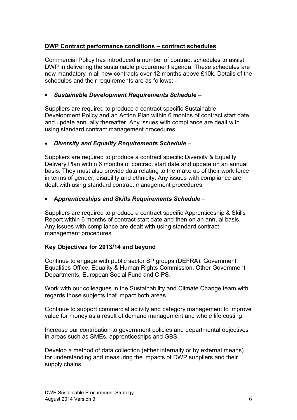## <span id="page-5-0"></span>**DWP Contract performance conditions – contract schedules**

Commercial Policy has introduced a number of contract schedules to assist DWP in delivering the sustainable procurement agenda. These schedules are now mandatory in all new contracts over 12 months above £10k. Details of the schedules and their requirements are as follows: -

#### *Sustainable Development Requirements Schedule* –

Suppliers are required to produce a contract specific Sustainable Development Policy and an Action Plan within 6 months of contract start date and update annually thereafter. Any issues with compliance are dealt with using standard contract management procedures.

#### *Diversity and Equality Requirements Schedule* –

Suppliers are required to produce a contract specific Diversity & Equality Delivery Plan within 6 months of contract start date and update on an annual basis. They must also provide data relating to the make up of their work force in terms of gender, disability and ethnicity. Any issues with compliance are dealt with using standard contract management procedures.

#### *Apprenticeships and Skills Requirements Schedule* –

Suppliers are required to produce a contract specific Apprenticeship & Skills Report within 6 months of contract start date and then on an annual basis. Any issues with compliance are dealt with using standard contract management procedures.

## <span id="page-5-1"></span>**Key Objectives for 2013/14 and beyond**

Continue to engage with public sector SP groups (DEFRA), Government Equalities Office, Equality & Human Rights Commission, Other Government Departments, European Social Fund and CIPS.

Work with our colleagues in the Sustainability and Climate Change team with regards those subjects that impact both areas.

Continue to support commercial activity and category management to improve value for money as a result of demand management and whole life costing.

Increase our contribution to government policies and departmental objectives in areas such as SMEs, apprenticeships and GBS.

Develop a method of data collection (either internally or by external means) for understanding and measuring the impacts of DWP suppliers and their supply chains.